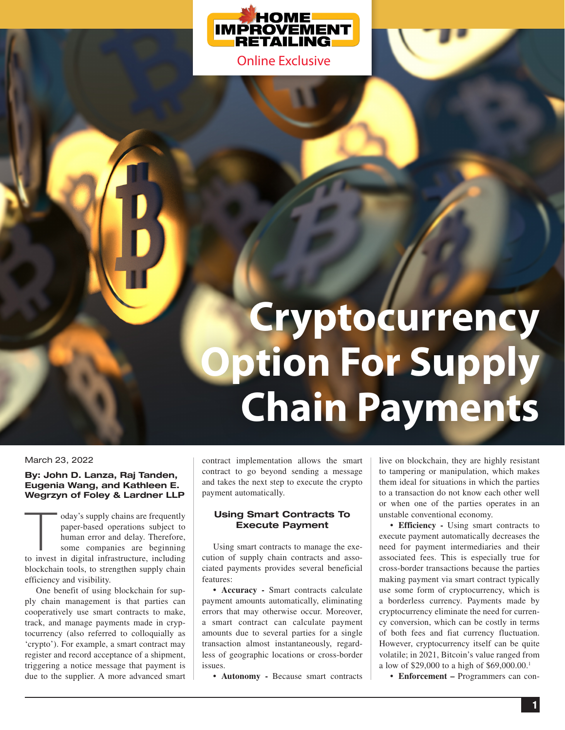

# **Cryptocurrency Option For Supply Chain Payments**

#### March 23, 2022

#### **By: John D. Lanza, Raj Tanden, Eugenia Wang, and Kathleen E. Wegrzyn of Foley & Lardner LLP**

oday's supply chains are frequently paper-based operations subject to human error and delay. Therefore, some companies are beginning to invest in digital infrastructure, including blockchain tools, to strengthen supply chain efficiency and visibility.

One benefit of using blockchain for supply chain management is that parties can cooperatively use smart contracts to make, track, and manage payments made in cryptocurrency (also referred to colloquially as 'crypto'). For example, a smart contract may register and record acceptance of a shipment, triggering a notice message that payment is due to the supplier. A more advanced smart contract implementation allows the smart contract to go beyond sending a message and takes the next step to execute the crypto payment automatically.

#### **Using Smart Contracts To Execute Payment**

Using smart contracts to manage the execution of supply chain contracts and associated payments provides several beneficial features:

**• Accuracy -** Smart contracts calculate payment amounts automatically, eliminating errors that may otherwise occur. Moreover, a smart contract can calculate payment amounts due to several parties for a single transaction almost instantaneously, regardless of geographic locations or cross-border issues.

**• Autonomy -** Because smart contracts

live on blockchain, they are highly resistant to tampering or manipulation, which makes them ideal for situations in which the parties to a transaction do not know each other well or when one of the parties operates in an unstable conventional economy.

**• Efficiency -** Using smart contracts to execute payment automatically decreases the need for payment intermediaries and their associated fees. This is especially true for cross-border transactions because the parties making payment via smart contract typically use some form of cryptocurrency, which is a borderless currency. Payments made by cryptocurrency eliminate the need for currency conversion, which can be costly in terms of both fees and fiat currency fluctuation. However, cryptocurrency itself can be quite volatile; in 2021, Bitcoin's value ranged from a low of \$29,000 to a high of \$69,000.00.1

**• Enforcement –** Programmers can con-